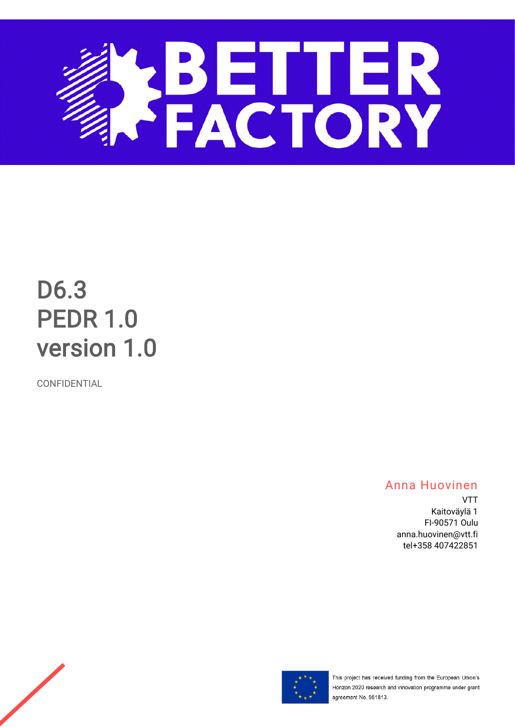

# D6.3 PEDR 1.0 version 1.0

CONFIDENTIAL

# Anna Huovinen

VTT Kaitoväylä 1 FI-90571 Oulu anna.huovinen@vtt.fi tel+358 407422851



This project has received funding from the European Union's Horizon 2020 research and innovation programme under grant agreement No. 951813.